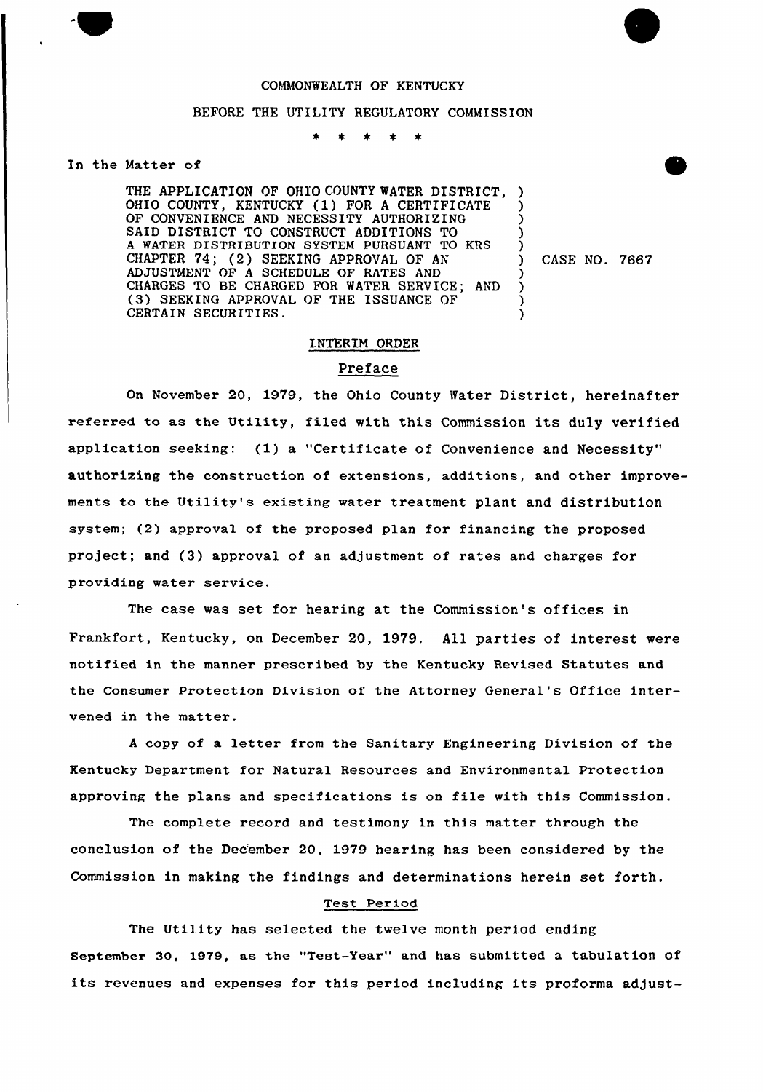## COMMONWEALTH OF KENTUCKY

## BEFORE THE UTILITY REGULATORY COMMISSION

## In the Matter of

THE APPLICATION OF OHIO COUNTY WATER DISTRICT, OHIO COUNTY, KENTUCKY (1) FOR <sup>A</sup> CERTIFICATE OF CONVENIENCE AND NECESSITY AUTHORIZING SAID DISTRICT TO CONSTRUCT ADDITIONS TO A WATER DISTRIBUTION SYSTEM PURSUANT TO KRS CHAPTER 74; (2) SEEKING APPROVAL OF AN ADJUSTMENT OF A SCHEDULE OF RATES AND CHARGES TO BE CHARGED FOR WATER SERVICE; AND (3) SEEKING APPROVAL OF THE ISSUANCE OF CERTAIN SECURITIES. ) ) .<br>ڊ 3 ) ) ) )

) CASE NO. 7667

# INTERIM ORDER

# Preface

On November 20, 1979, the Ohio County Water District, hereinafter referred to as the Utility, filed with this Commission its duly verified application seeking: (1) a "Cextificate of Convenience and Necessity" authorizing the construction of extensions, additions, and other improvements to the Utility's existing water treatment plant and distribution system; (2) approval of the proposed plan for financing the proposed project; and  $(3)$  approval of an adjustment of rates and charges for providing water service.

The case was set for hearing at the Commission's offices in Frankfort, Kentucky, on December 20, 1979. All parties of interest were notified in the manner prescribed by the Kentucky Revised Statutes and the Consumer Protection Division of the Attorney General's Office intervened in the matter.

<sup>A</sup> copy of a letter from the Sanitaxy Engineering Division of the Kentucky Department for Natural Resources and Environmental Protection approving the plans and specifications is on file with this Commission.

The complete record and testimony in this matter through the conclusion of the Dec'ember 20, 1979 hearing has been considered by the Commission in making the findings and determinations herein set forth.

## Test Period

The Utility has selected the twelve month period ending september 30, 1979, as the "Test-Year" and has submitted a tabulation of its revenues and expenses for this period including its proforma adjust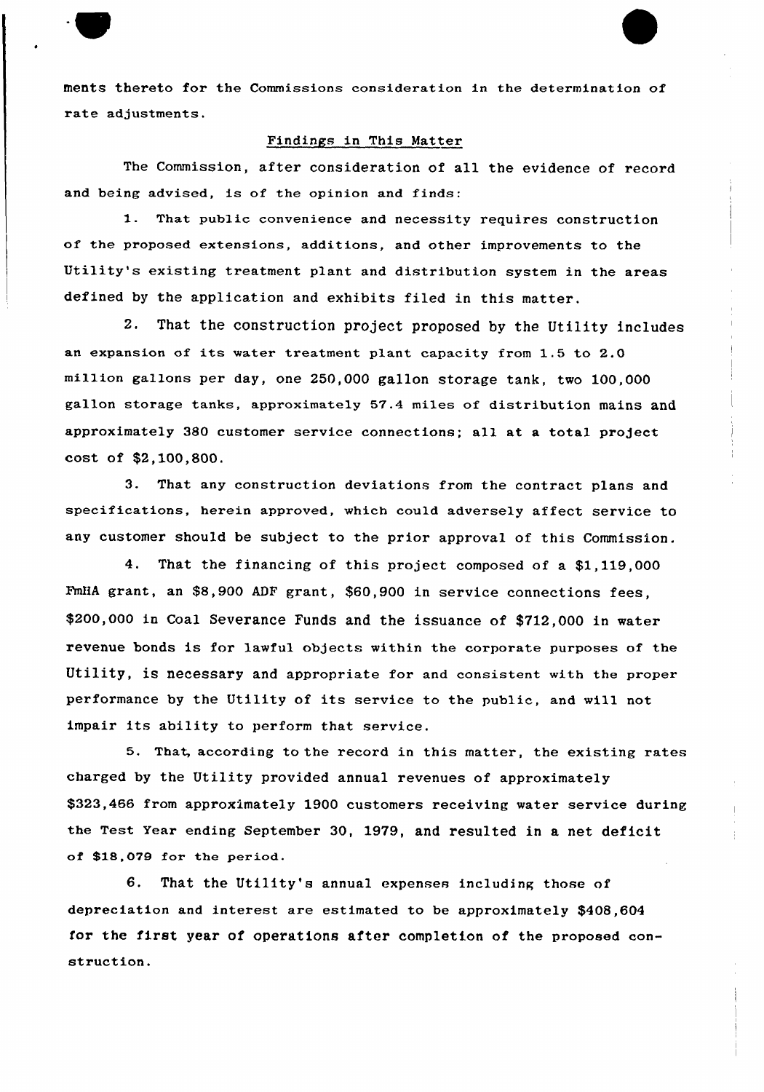ments thereto for the Commissions consideration in the determination of rate adjustments.

## Findings in This Matter

The Commission, after consideration of all the evidence of record and being advised, is of the opinion and finds:

1. That public convenience and necessity requires construction of the proposed extensions, additions, and other improvements to the Utility's existing treatment plant and distribution system in the areas defined by the application and exhibits filed in this matter.

2, That the construction project proposed by the Utility includes an expansion of its water treatment plant capacity from 1.5 to 2.0 million gallons per day, one 250,000 gallon storage tank, two 100,000 gallon storage tanks, approximately 57.4 miles of distribution mains and approximately 380 customer service connections; all at a total project cost of \$2,100,800.

3. That any construction deviations from the contract plans and specifications, herein approved, which could adversely affect service to any customer should be subject to the prior approval of this Commission.

4. That the financing of this project composed of a \$1,119,000 FmHA grant, an \$8,900 ADF grant, \$60,900 in service connections fees, \$200,000 in Coal Severance Funds and the issuance of \$712,000 in water revenue bonds is for lawful objects within the corporate purposes of the Utility, is necessary and appropriate for and consistent with the proper performance by the Utility of its service to the public, and will not impair its ability to perform that service.

5. That, according to the record in this matter, the existing rates charged by the Utility provided annual revenues of approximately \$323,466 from approximately 1900 customers receiving water service during the Test Year ending September 30, 1979, and resulted in a net deficit of Sl8,079 for the period.

6. That the Utility's annual expenses including those of depreciation and interest are estimated to be approximately \$408,604 for the first year of operations after completion of the proposed construction.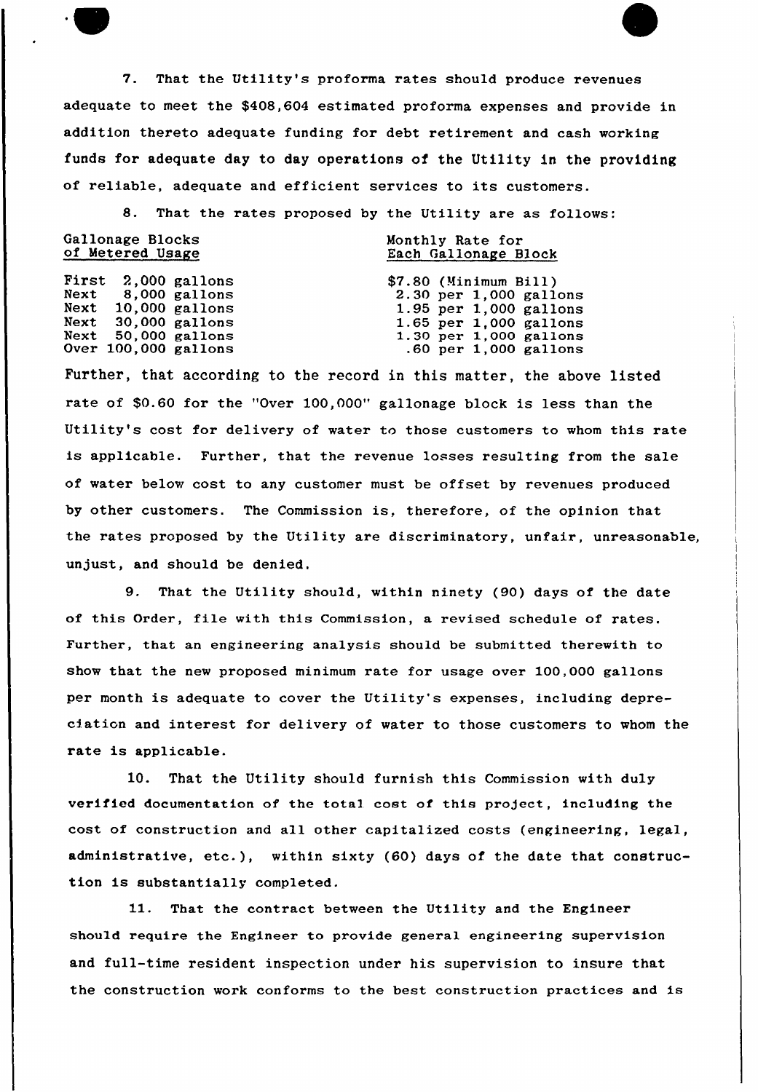7. That the Utility's proforma rates should produce revenues adequate to meet the \$408,604 estimated proforma expenses and provide in addition thereto adequate funding for debt retirement and cash working funds for adequate day to day operations of the Utility in the providing of reliable, adequate and efficient services to its customers.

8. That the rates proposed by the Utility are as follows:

| Gallonage Blocks<br>of Metered Usage |  |                      | Monthly Rate for<br>Each Gallonage Block |
|--------------------------------------|--|----------------------|------------------------------------------|
|                                      |  | First 2,000 gallons  | \$7.80 (Minimum Bill)                    |
|                                      |  | Next 8,000 gallons   | 2.30 per 1,000 gallon                    |
|                                      |  | Next 10,000 gallons  | 1.95 per 1,000 gallon                    |
|                                      |  | Next 30,000 gallons  | 1.65 per 1,000 gallon                    |
|                                      |  | Next 50,000 gallons  | 1.30 per 1,000 gallon                    |
|                                      |  | Over 100,000 gallons | $.60$ per 1,000 gallon                   |

Further, that according to the record in this matter, the above listed rate of \$0.60 for the "Over 100,000" gallonage block is less than the Utility's cost for delivery of water to those customers to whom this rate is applicable. Further, that the revenue losses resulting from the sale of water below cost to any customer must be offset by revenues produced by other customers. The Commission is, therefore, of the opinion that the rates proposed by the Utility are discriminatory, unfair, unreasonable, unjust, and should be denied.

9. That the Utility should, within ninety (90) days of the date of this Order, file with this Commission, a revised schedule of rates. Further, that an engineering analysis should be submitted therewith to show that the new proposed minimum rate for usage over 100.000 gallons per month is adequate to cover the Utility's expenses, including depreciation and interest for delivery of water to those customers to whom the rate is applicable.

10. That the Utility should furnish this Commission with duly verified documentation of the total cost of this project, including the cost of construction and all other capitalized costs (engineering, legal, administrative, etc.), within sixty (60) days of the date that construction is substantially completed.

11. That the contract between the Utility and the Engineer should require the Engineer to provide general engineering supervision and full-time resident inspection under his supervision to insure that the construction work conforms to the best construction practices and is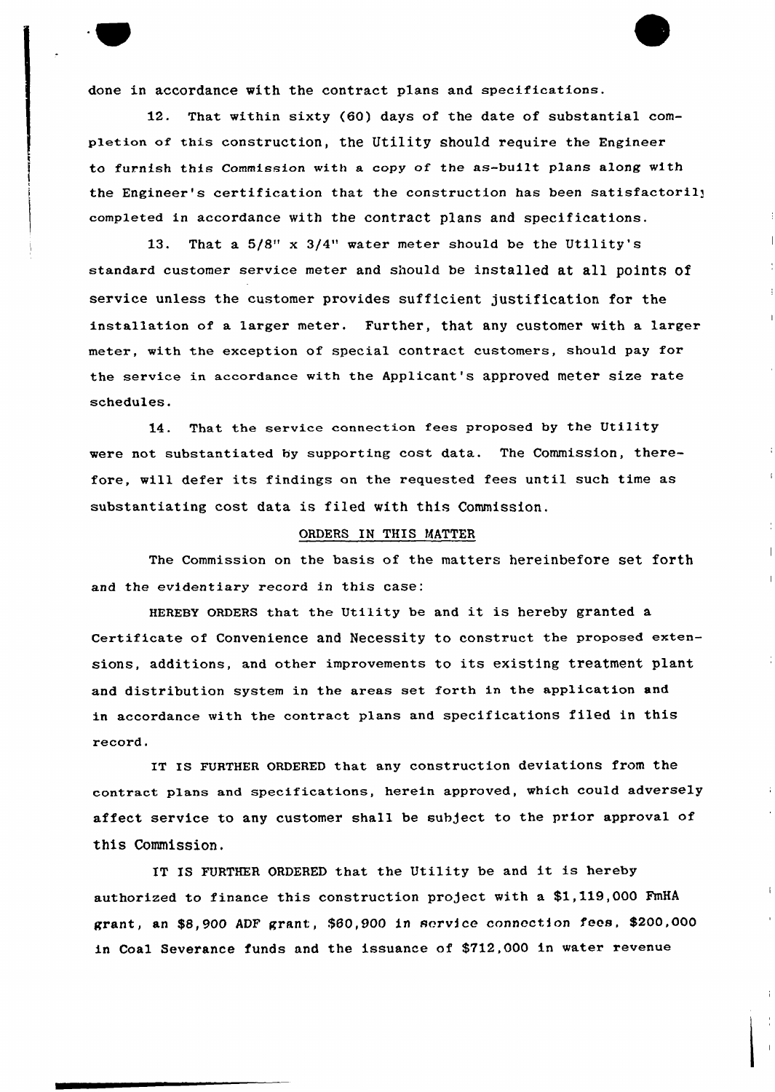done in accordance with the contract plans and specifications.

That within sixty (60) days of the date of substantial completion of this construction, the Utility should require the Engineer to furnish this Commission with a copy of the as-built plans along with the Engineer's certification that the construction has been satisfactorily completed in accordance with the contract plans and specifications.

13. That a 5/8" x 3/4" water meter should be the Utility's standard customer service meter and should be installed at all points of service unless the customer provides sufficient justification for the installation of a larger meter. Further, that any customer with a larger meter, with the exception of special contract customers, should pay for the service in accordance with the Applicant's approved meter size rate schedules.

14. That the service connection fees proposed by the Utility were not substantiated hy supporting cost data. The Commission, therefore, will defer its findings on the requested fees until such time as substantiating cost data is filed with this Commission.

#### ORDERS IN THIS MATTER

The Commission on the basis of the matters hereinbefore set forth and the evidentiary record in this case:

HEREBY QRDERs that the Utility be and it is hereby granted <sup>a</sup> Certificate of Convenience and Necessity to construct the proposed extensions, additions, and other improvements to its existing treatment plant and distribution system in the areas set forth in the application and in accordance with the contract plans and specifications filed in this record,

IT IS FURTHER ORDERED that any construction deviations from the contract plans and specifications, herein approved, which could adversely affect service to any customer shall be subject to the prior approval of this Commission,

IT IS FURTHER ORDERED that the Utility be and it is hereby authorized to finance this construction project with a \$1,119,000 FmHA grant, an \$8,900 ADF grant, \$60,900 in service connection fees, \$200,000 in Coal Severance funds and the issuance of \$712,000 in water revenue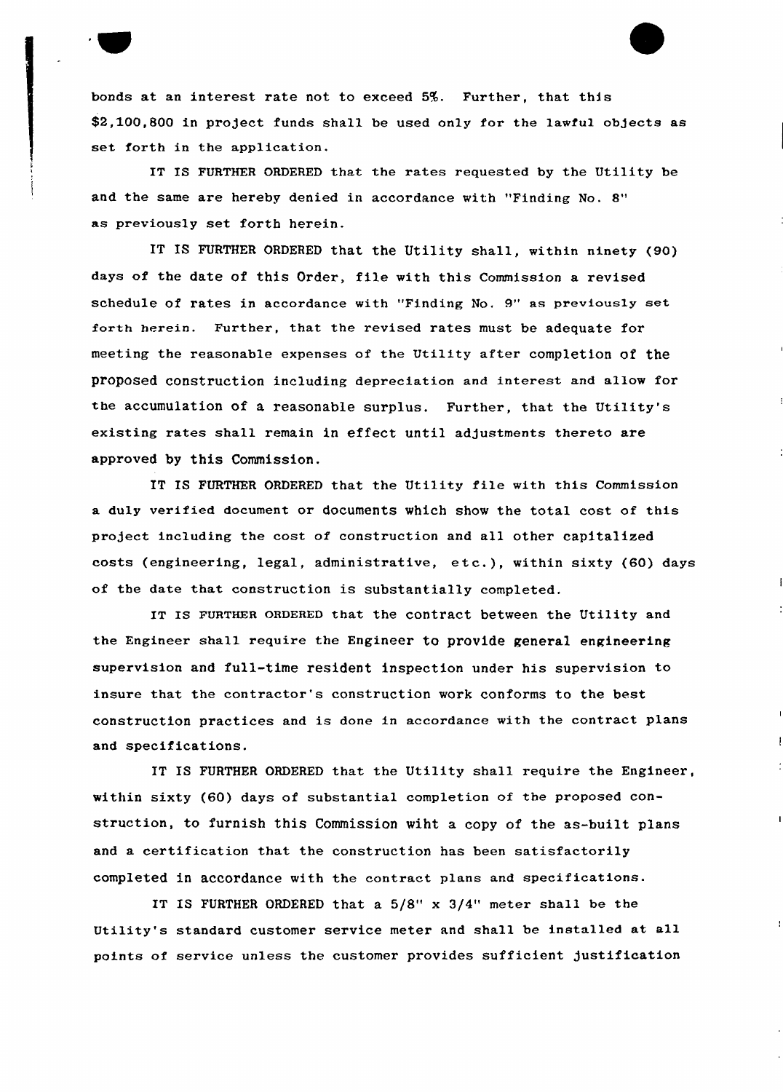bonds at an interest rate not to exceed 5%. Further, that this \$2,100,800 in project funds shall be used only for the lawful objects as set forth in the application.

IT IS FURTHER ORDERED that the rates requested by the Utility be and the same are hereby denied in accordance with "Finding No. 8" as previously set forth herein.

IT IS FURTHER ORDERED that the Utility shall, within ninety (90) days of the date of this Order, file with this Commission a revised schedule of rates in accordance with "Finding No. 9" as previoualy set forth herein. Further, that the revised rates must be adequate for meeting the reasonable expenses of the Utility after completion of the proposed construction including depreciation and interest and allow for the accumulation of a reasonable surplus. Further, that the Utility's existing rates shall remain in effect until adjustments thereto are approved by this Commission.

IT IS FURTHER ORDERED that the Utility file with this Commission a duly verified document or documents which show the total cost of this project including the cost of construction and all other capitalized costs (engineering, legal, administrative, etc.), within sixty (60) days of the date that construction is substantially completed.

IT Is FURTHER ORDERED that the contract between the Utility and the Engineer shall require the Engineer to provide general engineering supervision and full-time resident inspection under his supervision to insure that the contractor's construction work conforms to the best construction practices and is done in accordance with the contract plans and specifications.

IT IS FURTHER ORDERED that the Utility shall require the Engineer, within sixty (60) days of substantial completion of the proposed construction, to furnish this Commission wiht a copy of the as-built plans and a certification that the construction has been satisfactorily completed in accordance with the contract plans and specifications.

IT IS FURTHER ORDERED that a 5/8" x 3/4" meter shall be the Utility's standard customer service meter and shall be installed at all points of service unless the customer provides sufficient justification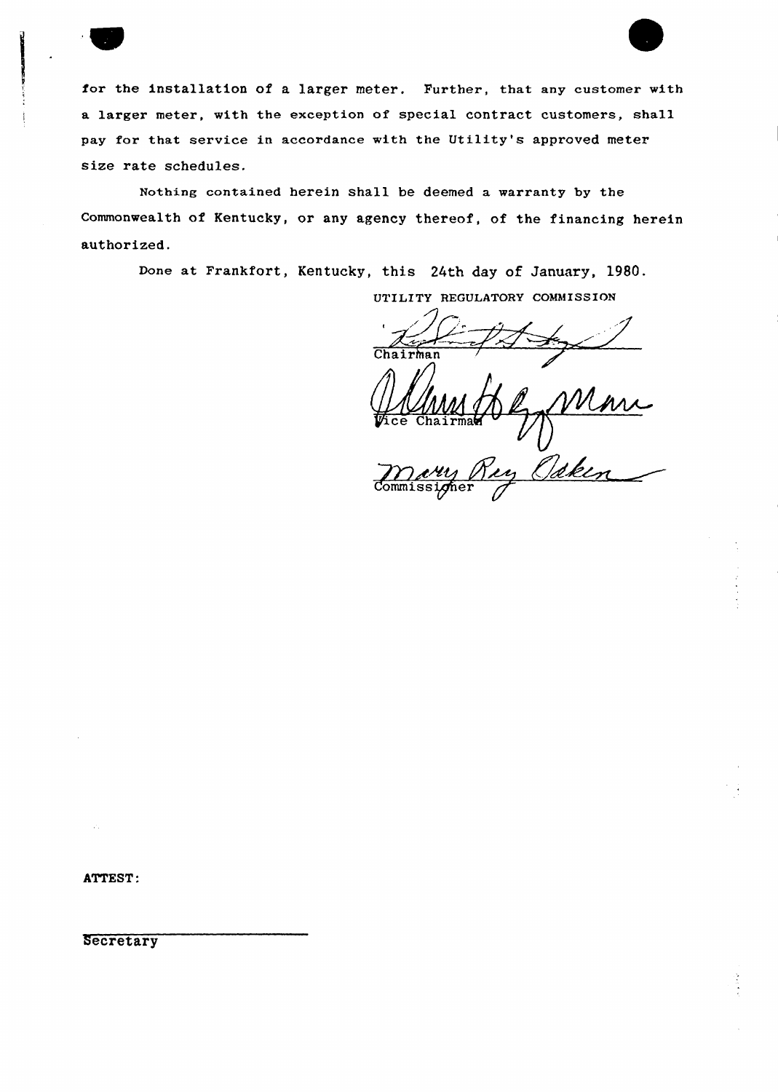for the installation of a larger meter, Purther, that any customer with a larger meter, with the exception of special contract customers, shall pay for that service in accordance with the Utility's approved meter size rate schedules.

Nothing contained herein shall be deemed a warranty by the Commonwealth of Kentucky, or any agency thereof, of the financing herein authorized.

Done at Frankfort, Kentucky, this 24th day of January, 1980.

UTILITY REGULATORY COMMISSION

Mari<br>Odken Tice Chairman

Mary

ATTEST:

Secretary